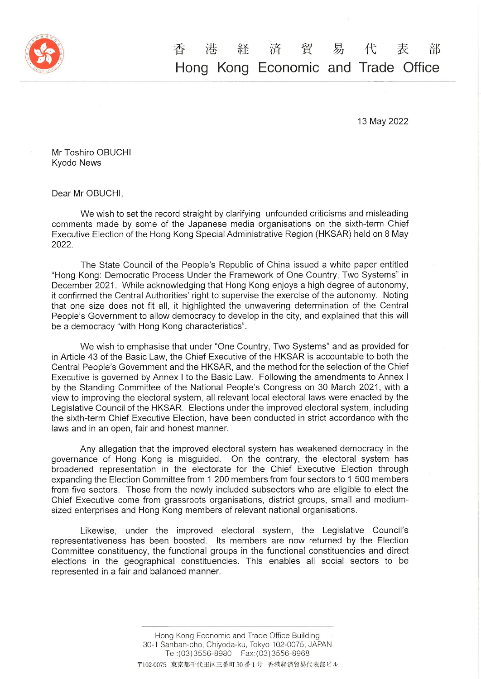

## 経 済 貿 易 代 香 港 表 部 Hong Kong Economic and Trade Office

13 May2022

Mr Toshiro OBUCHI Kyodo News

Dear Mr OBUCH1,

We wish to set the record straight by clarifying unfounded criticisms and misleading comments made by some of the Japanese media organisations on the sixth-term Chief Executive Election of the Hong Kong Special Administrative Region (HKSAR) held on 8 May 2022.

The State Council of the People's Republic of China issued a white paper entitled "Hong Kong: Democratic Process Under the Framework of One Country, Two Systems" in December 2021. While acknowledging that Hong Kong enjoys a high degree of autonomy, it confirmed the Central Authorities' right to supervise the exercise of the autonomy. Noting that one size does not fit all, it highlighted the unwavering determination of the Central People's Government to allow democracy to develop in the city, and explained that this will be a democracy "with Hong Kong characteristics".

We wish to emphasise that under "One Country, Two Systems" and as provided for in Article 43 of the Basic Law, the Chief Executive of the HKSAR is accountable to both the Central People's Government and the HKSAR, and the method for the selection of the Chief Executive is governed by Annex I to the Basic Law. Following the amendments to Annex I by the Standing Committee of the National People's Congress on 30 March 2021, with a view to improving the electoral system, all relevant local electoral laws were enacted by the Legislative Council of the HKSAR. Elections under the improved electoral system, including the sixth-term Chief Executive Election, have been conducted in strict accordance with the laws and in an open, fair and honest manner.

governance of Hong Kong is misguided. On the contrary, the electoral system has broadened representation in the electorate for the Chief Executive Election throu Any allegation that the improved electoral system has weakened democracy in the expanding the Election Committee from 1 200 members from four sectors to 1 500 members from five sectors. Those from the newly included subsectors who are eligible to elect the Chief Executive come from grassroots organisations, district groups, small and mediumsized enterprises and Hong Kong members of relevant national organisations.

Likewise, under the improved electoral system, the Legislative Council's representativeness has been boosted. Its members are now returned by the Election Committee constituency, the functional groups in the functional constituencies and direct elections in the geographical constituencies. This enables all social sectors to be represented in a fair and balanced manner.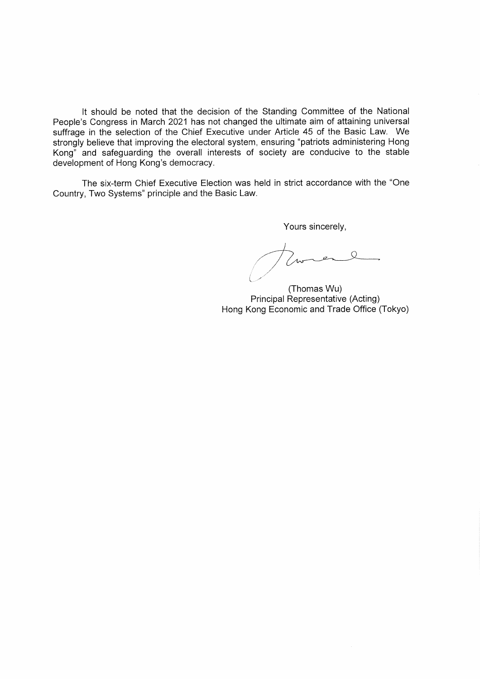It should be noted that the decision of the Standing Committee of the National People's Congress in March 2021 has not changed the ultimate aim of attaining universal suffrage in the selection of the Chief Executive under Article 45 of the Basic Law. We strongly believe that improving the electoral system, ensuring "patriots administering Hong Kong" and safeguarding the overall interests of society are conducive to the stable development of Hong Kong's democracy.

The six-term Chief Executive Election was held in strict accordance with the "One Country, Two Systems" principle and the Basic Law.

Yours sincerely,

Eurene // //  $\backslash$ 

(Thomas Wu) PrincipaI Representative(Acting) Hong Kong Economic and Trade Office (Tokyo)